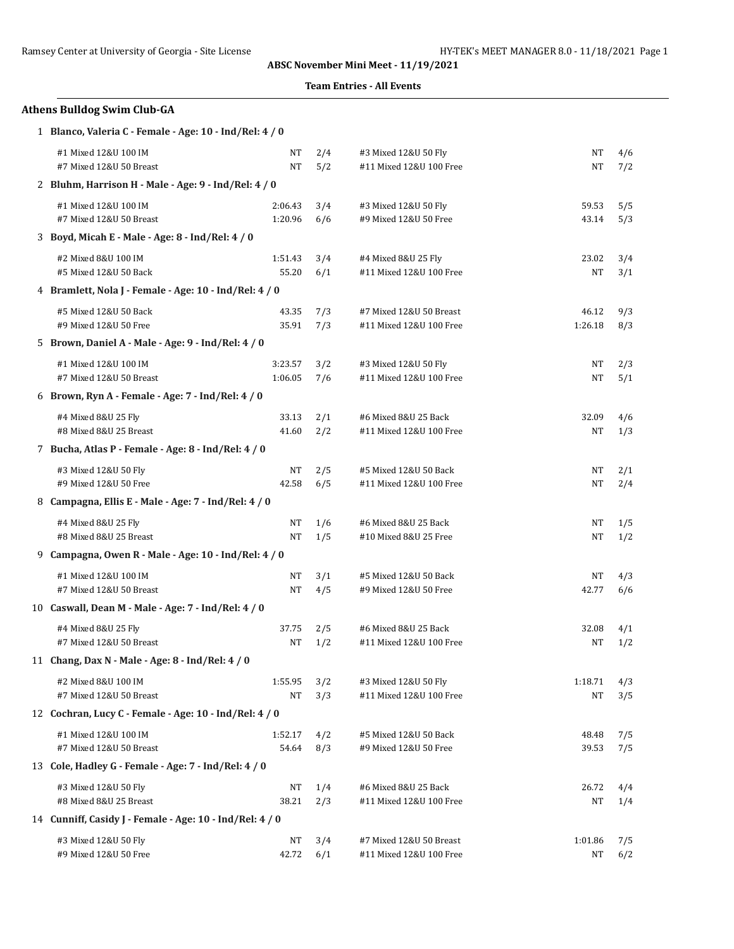## **Team Entries - All Events**

## **Athens Bulldog Swim Club-GA**

1 **Blanco, Valeria C - Female - Age: 10 - Ind/Rel: 4 / 0**

| #1 Mixed 12&U 100 IM                                     | NT      | 2/4 | #3 Mixed 12&U 50 Fly    | <b>NT</b> | 4/6 |
|----------------------------------------------------------|---------|-----|-------------------------|-----------|-----|
| #7 Mixed 12&U 50 Breast                                  | NT      | 5/2 | #11 Mixed 12&U 100 Free | <b>NT</b> | 7/2 |
| 2 Bluhm, Harrison H - Male - Age: 9 - Ind/Rel: 4 / 0     |         |     |                         |           |     |
| #1 Mixed 12&U 100 IM                                     | 2:06.43 | 3/4 | #3 Mixed 12&U 50 Fly    | 59.53     | 5/5 |
| #7 Mixed 12&U 50 Breast                                  | 1:20.96 | 6/6 | #9 Mixed 12&U 50 Free   | 43.14     | 5/3 |
| 3 Boyd, Micah E - Male - Age: 8 - Ind/Rel: 4 / 0         |         |     |                         |           |     |
| #2 Mixed 8&U 100 IM                                      | 1:51.43 | 3/4 | #4 Mixed 8&U 25 Fly     | 23.02     | 3/4 |
| #5 Mixed 12&U 50 Back                                    | 55.20   | 6/1 | #11 Mixed 12&U 100 Free | NT        | 3/1 |
| 4 Bramlett, Nola J - Female - Age: 10 - Ind/Rel: 4 / 0   |         |     |                         |           |     |
| #5 Mixed 12&U 50 Back                                    | 43.35   | 7/3 | #7 Mixed 12&U 50 Breast | 46.12     | 9/3 |
| #9 Mixed 12&U 50 Free                                    | 35.91   | 7/3 | #11 Mixed 12&U 100 Free | 1:26.18   | 8/3 |
| 5 Brown, Daniel A - Male - Age: 9 - Ind/Rel: 4 / 0       |         |     |                         |           |     |
| #1 Mixed 12&U 100 IM                                     | 3:23.57 | 3/2 | #3 Mixed 12&U 50 Fly    | NT        | 2/3 |
| #7 Mixed 12&U 50 Breast                                  | 1:06.05 | 7/6 | #11 Mixed 12&U 100 Free | NT        | 5/1 |
| 6 Brown, Ryn A - Female - Age: 7 - Ind/Rel: 4 / 0        |         |     |                         |           |     |
| #4 Mixed 8&U 25 Fly                                      | 33.13   | 2/1 | #6 Mixed 8&U 25 Back    | 32.09     | 4/6 |
| #8 Mixed 8&U 25 Breast                                   | 41.60   | 2/2 | #11 Mixed 12&U 100 Free | NT        | 1/3 |
| 7 Bucha, Atlas P - Female - Age: 8 - Ind/Rel: 4 / 0      |         |     |                         |           |     |
| #3 Mixed 12&U 50 Fly                                     | NT      | 2/5 | #5 Mixed 12&U 50 Back   | NT        | 2/1 |
| #9 Mixed 12&U 50 Free                                    | 42.58   | 6/5 | #11 Mixed 12&U 100 Free | NT        | 2/4 |
| 8 Campagna, Ellis E - Male - Age: 7 - Ind/Rel: 4 / 0     |         |     |                         |           |     |
| #4 Mixed 8&U 25 Fly                                      | NT      | 1/6 | #6 Mixed 8&U 25 Back    | NT        | 1/5 |
| #8 Mixed 8&U 25 Breast                                   | NT      | 1/5 | #10 Mixed 8&U 25 Free   | NT        | 1/2 |
| 9 Campagna, Owen R - Male - Age: 10 - Ind/Rel: 4 / 0     |         |     |                         |           |     |
| #1 Mixed 12&U 100 IM                                     | NT      | 3/1 | #5 Mixed 12&U 50 Back   | NT        | 4/3 |
| #7 Mixed 12&U 50 Breast                                  | NT      | 4/5 | #9 Mixed 12&U 50 Free   | 42.77     | 6/6 |
| 10 Caswall, Dean M - Male - Age: 7 - Ind/Rel: 4 / 0      |         |     |                         |           |     |
| #4 Mixed 8&U 25 Fly                                      | 37.75   | 2/5 | #6 Mixed 8&U 25 Back    | 32.08     | 4/1 |
| #7 Mixed 12&U 50 Breast                                  | NT      | 1/2 | #11 Mixed 12&U 100 Free | NT        | 1/2 |
| 11 Chang, Dax N - Male - Age: 8 - Ind/Rel: 4 / 0         |         |     |                         |           |     |
| #2 Mixed 8&U 100 IM                                      | 1:55.95 | 3/2 | #3 Mixed 12&U 50 Fly    | 1:18.71   | 4/3 |
| #7 Mixed 12&U 50 Breast                                  | NT      | 3/3 | #11 Mixed 12&U 100 Free | NT        | 3/5 |
| 12 Cochran, Lucy C - Female - Age: 10 - Ind/Rel: 4 / 0   |         |     |                         |           |     |
| #1 Mixed 12&U 100 IM                                     | 1:52.17 | 4/2 | #5 Mixed 12&U 50 Back   | 48.48     | 7/5 |
| #7 Mixed 12&U 50 Breast                                  | 54.64   | 8/3 | #9 Mixed 12&U 50 Free   | 39.53     | 7/5 |
| 13 Cole, Hadley G - Female - Age: 7 - Ind/Rel: 4 / 0     |         |     |                         |           |     |
| #3 Mixed 12&U 50 Fly                                     | NT      | 1/4 | #6 Mixed 8&U 25 Back    | 26.72     | 4/4 |
| #8 Mixed 8&U 25 Breast                                   | 38.21   | 2/3 | #11 Mixed 12&U 100 Free | NT        | 1/4 |
| 14 Cunniff, Casidy J - Female - Age: 10 - Ind/Rel: 4 / 0 |         |     |                         |           |     |
| #3 Mixed 12&U 50 Fly                                     | NT      | 3/4 | #7 Mixed 12&U 50 Breast | 1:01.86   | 7/5 |
| #9 Mixed 12&U 50 Free                                    | 42.72   | 6/1 | #11 Mixed 12&U 100 Free | NT        | 6/2 |
|                                                          |         |     |                         |           |     |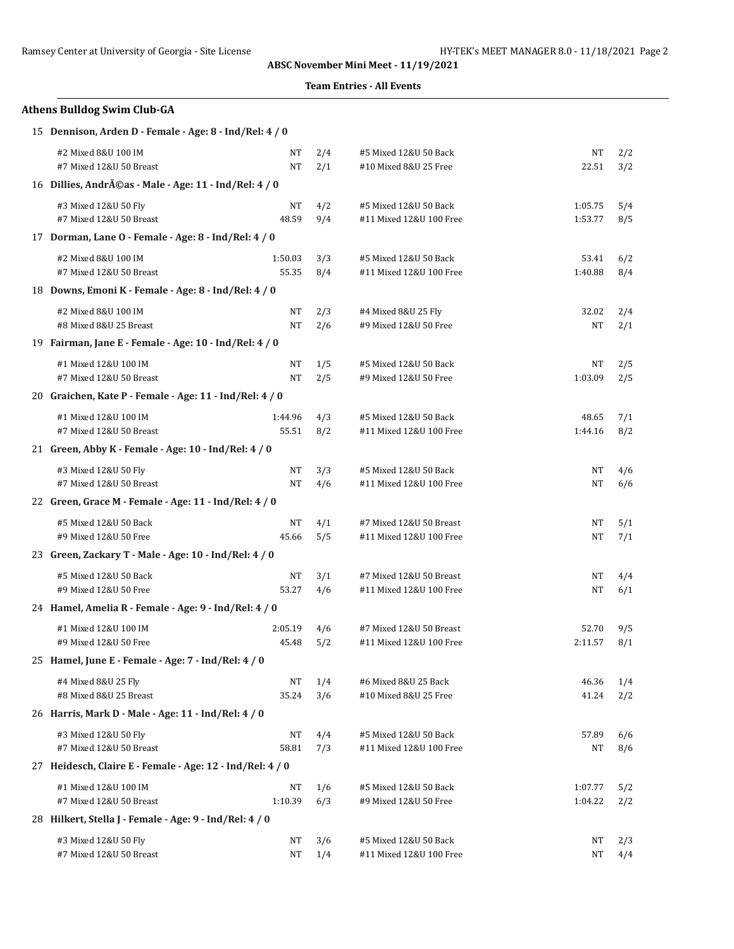## **Team Entries - All Events**

# **Athens Bulldog Swim Club-GA**

|  | 15 Dennison, Arden D - Female - Age: 8 - Ind/Rel: 4 / 0 |
|--|---------------------------------------------------------|
|--|---------------------------------------------------------|

| #2 Mixed 8&U 100 IM                                       | NT        | 2/4 | #5 Mixed 12&U 50 Back   | NΤ        | 2/2 |  |  |  |
|-----------------------------------------------------------|-----------|-----|-------------------------|-----------|-----|--|--|--|
| #7 Mixed 12&U 50 Breast                                   | NT        | 2/1 | #10 Mixed 8&U 25 Free   | 22.51     | 3/2 |  |  |  |
| 16 Dillies, Andréas - Male - Age: 11 - Ind/Rel: 4 / 0     |           |     |                         |           |     |  |  |  |
| #3 Mixed 12&U 50 Fly                                      | NT        | 4/2 | #5 Mixed 12&U 50 Back   | 1:05.75   | 5/4 |  |  |  |
| #7 Mixed 12&U 50 Breast                                   | 48.59     | 9/4 | #11 Mixed 12&U 100 Free | 1:53.77   | 8/5 |  |  |  |
| 17 Dorman, Lane O - Female - Age: 8 - Ind/Rel: 4 / 0      |           |     |                         |           |     |  |  |  |
| #2 Mixed 8&U 100 IM                                       | 1:50.03   | 3/3 | #5 Mixed 12&U 50 Back   | 53.41     | 6/2 |  |  |  |
| #7 Mixed 12&U 50 Breast                                   | 55.35     | 8/4 | #11 Mixed 12&U 100 Free | 1:40.88   | 8/4 |  |  |  |
| 18 Downs, Emoni K - Female - Age: 8 - Ind/Rel: 4 / 0      |           |     |                         |           |     |  |  |  |
| #2 Mixed 8&U 100 IM                                       | NT        | 2/3 | #4 Mixed 8&U 25 Fly     | 32.02     | 2/4 |  |  |  |
| #8 Mixed 8&U 25 Breast                                    | <b>NT</b> | 2/6 | #9 Mixed 12&U 50 Free   | NT        | 2/1 |  |  |  |
| 19 Fairman, Jane E - Female - Age: 10 - Ind/Rel: 4 / 0    |           |     |                         |           |     |  |  |  |
| #1 Mixed 12&U 100 IM                                      | NT        | 1/5 | #5 Mixed 12&U 50 Back   | NT        | 2/5 |  |  |  |
| #7 Mixed 12&U 50 Breast                                   | NT        | 2/5 | #9 Mixed 12&U 50 Free   | 1:03.09   | 2/5 |  |  |  |
| 20 Graichen, Kate P - Female - Age: 11 - Ind/Rel: 4 / 0   |           |     |                         |           |     |  |  |  |
| #1 Mixed 12&U 100 IM                                      | 1:44.96   | 4/3 | #5 Mixed 12&U 50 Back   | 48.65     | 7/1 |  |  |  |
| #7 Mixed 12&U 50 Breast                                   | 55.51     | 8/2 | #11 Mixed 12&U 100 Free | 1:44.16   | 8/2 |  |  |  |
| 21 Green, Abby K - Female - Age: 10 - Ind/Rel: 4 / 0      |           |     |                         |           |     |  |  |  |
| #3 Mixed 12&U 50 Fly                                      | NT        | 3/3 | #5 Mixed 12&U 50 Back   | NT        | 4/6 |  |  |  |
| #7 Mixed 12&U 50 Breast                                   | <b>NT</b> | 4/6 | #11 Mixed 12&U 100 Free | <b>NT</b> | 6/6 |  |  |  |
| 22 Green, Grace M - Female - Age: 11 - Ind/Rel: 4 / 0     |           |     |                         |           |     |  |  |  |
| #5 Mixed 12&U 50 Back                                     | NT        | 4/1 | #7 Mixed 12&U 50 Breast | NT        | 5/1 |  |  |  |
| #9 Mixed 12&U 50 Free                                     | 45.66     | 5/5 | #11 Mixed 12&U 100 Free | NT        | 7/1 |  |  |  |
| 23 Green, Zackary T - Male - Age: 10 - Ind/Rel: 4 / 0     |           |     |                         |           |     |  |  |  |
| #5 Mixed 12&U 50 Back                                     | NT        | 3/1 | #7 Mixed 12&U 50 Breast | NT        | 4/4 |  |  |  |
| #9 Mixed 12&U 50 Free                                     | 53.27     | 4/6 | #11 Mixed 12&U 100 Free | NT        | 6/1 |  |  |  |
| 24 Hamel, Amelia R - Female - Age: 9 - Ind/Rel: 4 / 0     |           |     |                         |           |     |  |  |  |
| #1 Mixed 12&U 100 IM                                      | 2:05.19   | 4/6 | #7 Mixed 12&U 50 Breast | 52.70     | 9/5 |  |  |  |
| #9 Mixed 12&U 50 Free                                     | 45.48     | 5/2 | #11 Mixed 12&U 100 Free | 2:11.57   | 8/1 |  |  |  |
| 25 Hamel, June E - Female - Age: 7 - Ind/Rel: 4 / 0       |           |     |                         |           |     |  |  |  |
| #4 Mixed 8&U 25 Fly                                       | NT        | 1/4 | #6 Mixed 8&U 25 Back    | 46.36     | 1/4 |  |  |  |
| #8 Mixed 8&U 25 Breast                                    | 35.24     | 3/6 | #10 Mixed 8&U 25 Free   | 41.24     | 2/2 |  |  |  |
| 26 Harris, Mark D - Male - Age: 11 - Ind/Rel: 4 / 0       |           |     |                         |           |     |  |  |  |
| #3 Mixed 12&U 50 Fly                                      | NT        | 4/4 | #5 Mixed 12&U 50 Back   | 57.89     | 6/6 |  |  |  |
| #7 Mixed 12&U 50 Breast                                   | 58.81     | 7/3 | #11 Mixed 12&U 100 Free | NT        | 8/6 |  |  |  |
| 27 Heidesch, Claire E - Female - Age: 12 - Ind/Rel: 4 / 0 |           |     |                         |           |     |  |  |  |
| #1 Mixed 12&U 100 IM                                      | NT        | 1/6 | #5 Mixed 12&U 50 Back   | 1:07.77   | 5/2 |  |  |  |
| #7 Mixed 12&U 50 Breast                                   | 1:10.39   | 6/3 | #9 Mixed 12&U 50 Free   | 1:04.22   | 2/2 |  |  |  |
| 28 Hilkert, Stella J - Female - Age: 9 - Ind/Rel: 4 / 0   |           |     |                         |           |     |  |  |  |
| #3 Mixed 12&U 50 Fly                                      | NT        | 3/6 | #5 Mixed 12&U 50 Back   | NΤ        | 2/3 |  |  |  |
| #7 Mixed 12&U 50 Breast                                   | NT        | 1/4 | #11 Mixed 12&U 100 Free | NΤ        | 4/4 |  |  |  |
|                                                           |           |     |                         |           |     |  |  |  |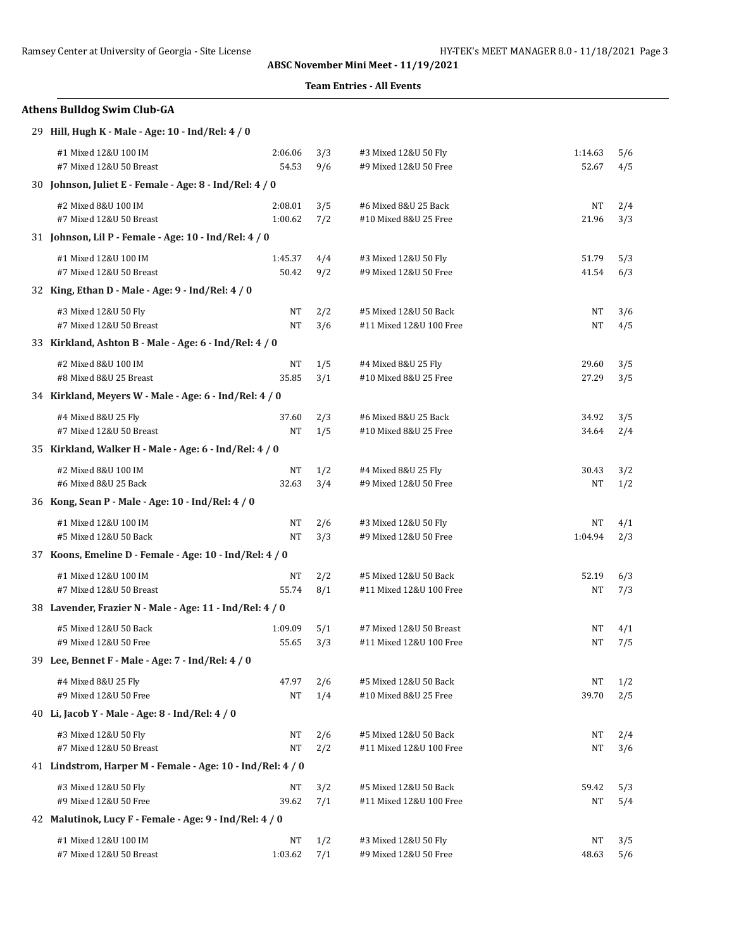## **Team Entries - All Events**

# **Athens Bulldog Swim Club-GA** 29 **Hill, Hugh K - Male - Age: 10 - Ind/Rel: 4 / 0**

| #1 Mixed 12&U 100 IM                                       | 2:06.06 | 3/3 | #3 Mixed 12&U 50 Fly    | 1:14.63 | 5/6 |
|------------------------------------------------------------|---------|-----|-------------------------|---------|-----|
| #7 Mixed 12&U 50 Breast                                    | 54.53   | 9/6 | #9 Mixed 12&U 50 Free   | 52.67   | 4/5 |
| 30 Johnson, Juliet E - Female - Age: 8 - Ind/Rel: 4 / 0    |         |     |                         |         |     |
| #2 Mixed 8&U 100 IM                                        | 2:08.01 | 3/5 | #6 Mixed 8&U 25 Back    | NT      | 2/4 |
| #7 Mixed 12&U 50 Breast                                    | 1:00.62 | 7/2 | #10 Mixed 8&U 25 Free   | 21.96   | 3/3 |
| 31 Johnson, Lil P - Female - Age: 10 - Ind/Rel: 4 / 0      |         |     |                         |         |     |
| #1 Mixed 12&U 100 IM                                       | 1:45.37 | 4/4 | #3 Mixed 12&U 50 Fly    | 51.79   | 5/3 |
| #7 Mixed 12&U 50 Breast                                    | 50.42   | 9/2 | #9 Mixed 12&U 50 Free   | 41.54   | 6/3 |
| 32 King, Ethan D - Male - Age: 9 - Ind/Rel: 4 / 0          |         |     |                         |         |     |
| #3 Mixed 12&U 50 Fly                                       | NT      | 2/2 | #5 Mixed 12&U 50 Back   | NΤ      | 3/6 |
| #7 Mixed 12&U 50 Breast                                    | NT      | 3/6 | #11 Mixed 12&U 100 Free | NT      | 4/5 |
| 33 Kirkland, Ashton B - Male - Age: 6 - Ind/Rel: 4 / 0     |         |     |                         |         |     |
| #2 Mixed 8&U 100 IM                                        | NT      | 1/5 | #4 Mixed 8&U 25 Fly     | 29.60   | 3/5 |
| #8 Mixed 8&U 25 Breast                                     | 35.85   | 3/1 | #10 Mixed 8&U 25 Free   | 27.29   | 3/5 |
| 34 Kirkland, Meyers W - Male - Age: 6 - Ind/Rel: 4 / 0     |         |     |                         |         |     |
| #4 Mixed 8&U 25 Fly                                        | 37.60   | 2/3 | #6 Mixed 8&U 25 Back    | 34.92   | 3/5 |
| #7 Mixed 12&U 50 Breast                                    | NT      | 1/5 | #10 Mixed 8&U 25 Free   | 34.64   | 2/4 |
| 35 Kirkland, Walker H - Male - Age: 6 - Ind/Rel: 4 / 0     |         |     |                         |         |     |
| #2 Mixed 8&U 100 IM                                        | NT      | 1/2 | #4 Mixed 8&U 25 Fly     | 30.43   | 3/2 |
| #6 Mixed 8&U 25 Back                                       | 32.63   | 3/4 | #9 Mixed 12&U 50 Free   | NΤ      | 1/2 |
| 36 Kong, Sean P - Male - Age: 10 - Ind/Rel: 4 / 0          |         |     |                         |         |     |
| #1 Mixed 12&U 100 IM                                       | NT      | 2/6 | #3 Mixed 12&U 50 Fly    | NT      | 4/1 |
| #5 Mixed 12&U 50 Back                                      | NT      | 3/3 | #9 Mixed 12&U 50 Free   | 1:04.94 | 2/3 |
| 37 Koons, Emeline D - Female - Age: 10 - Ind/Rel: 4 / 0    |         |     |                         |         |     |
| #1 Mixed 12&U 100 IM                                       | NT      | 2/2 | #5 Mixed 12&U 50 Back   | 52.19   | 6/3 |
| #7 Mixed 12&U 50 Breast                                    | 55.74   | 8/1 | #11 Mixed 12&U 100 Free | NT      | 7/3 |
| 38 Lavender, Frazier N - Male - Age: 11 - Ind/Rel: 4 / 0   |         |     |                         |         |     |
| #5 Mixed 12&U 50 Back                                      | 1:09.09 | 5/1 | #7 Mixed 12&U 50 Breast | NT      | 4/1 |
| #9 Mixed 12&U 50 Free                                      | 55.65   | 3/3 | #11 Mixed 12&U 100 Free | NT      | 7/5 |
| 39 Lee, Bennet F - Male - Age: 7 - Ind/Rel: 4 / 0          |         |     |                         |         |     |
| #4 Mixed 8&U 25 Fly                                        | 47.97   | 2/6 | #5 Mixed 12&U 50 Back   | NT      | 1/2 |
| #9 Mixed 12&U 50 Free                                      | NT      | 1/4 | #10 Mixed 8&U 25 Free   | 39.70   | 2/5 |
| 40 Li, Jacob Y - Male - Age: 8 - Ind/Rel: 4 / 0            |         |     |                         |         |     |
| #3 Mixed 12&U 50 Fly                                       | NΤ      | 2/6 | #5 Mixed 12&U 50 Back   | NΤ      | 2/4 |
| #7 Mixed 12&U 50 Breast                                    | NT      | 2/2 | #11 Mixed 12&U 100 Free | NT      | 3/6 |
| 41 Lindstrom, Harper M - Female - Age: 10 - Ind/Rel: 4 / 0 |         |     |                         |         |     |
| #3 Mixed 12&U 50 Fly                                       | NΤ      | 3/2 | #5 Mixed 12&U 50 Back   | 59.42   | 5/3 |
| #9 Mixed 12&U 50 Free                                      | 39.62   | 7/1 | #11 Mixed 12&U 100 Free | NT      | 5/4 |
| 42 Malutinok, Lucy F - Female - Age: 9 - Ind/Rel: 4 / 0    |         |     |                         |         |     |
| #1 Mixed 12&U 100 IM                                       | NT      | 1/2 | #3 Mixed 12&U 50 Fly    | NΤ      | 3/5 |
| #7 Mixed 12&U 50 Breast                                    | 1:03.62 | 7/1 | #9 Mixed 12&U 50 Free   | 48.63   | 5/6 |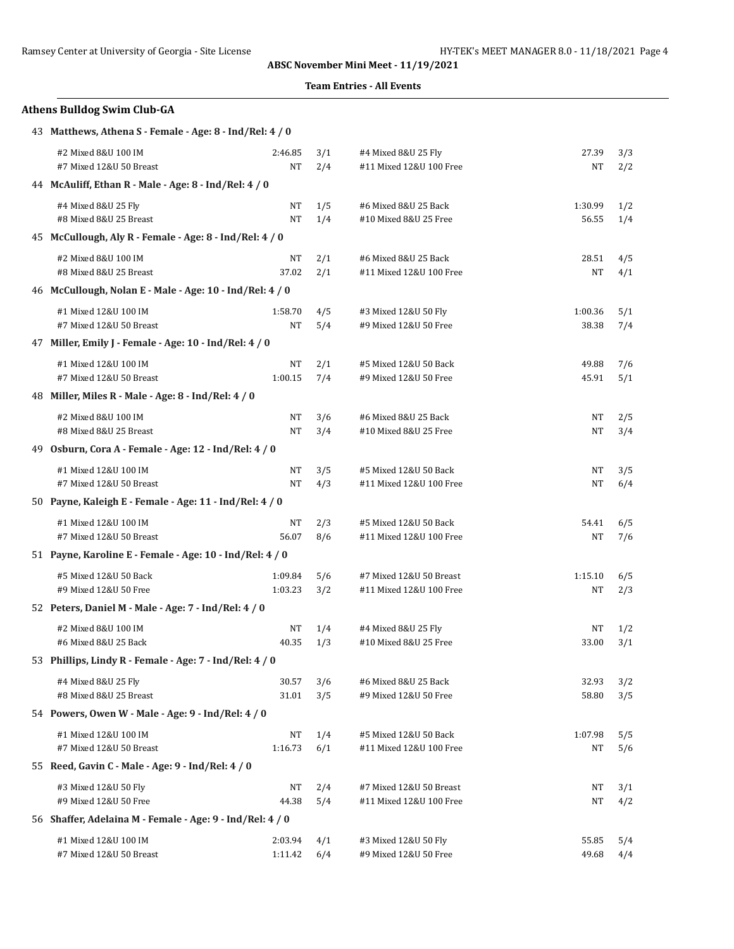## **Team Entries - All Events**

| <b>Athens Bulldog Swim Club-GA</b>                        |                    |            |                                                    |                  |            |  |  |  |  |
|-----------------------------------------------------------|--------------------|------------|----------------------------------------------------|------------------|------------|--|--|--|--|
| 43 Matthews, Athena S - Female - Age: 8 - Ind/Rel: 4 / 0  |                    |            |                                                    |                  |            |  |  |  |  |
| #2 Mixed 8&U 100 IM<br>#7 Mixed 12&U 50 Breast            | 2:46.85<br>NT      | 3/1<br>2/4 | #4 Mixed 8&U 25 Fly<br>#11 Mixed 12&U 100 Free     | 27.39<br>NT      | 3/3<br>2/2 |  |  |  |  |
| 44 McAuliff, Ethan R - Male - Age: 8 - Ind/Rel: 4 / 0     |                    |            |                                                    |                  |            |  |  |  |  |
| #4 Mixed 8&U 25 Fly<br>#8 Mixed 8&U 25 Breast             | NT<br>NT           | 1/5<br>1/4 | #6 Mixed 8&U 25 Back<br>#10 Mixed 8&U 25 Free      | 1:30.99<br>56.55 | 1/2<br>1/4 |  |  |  |  |
| 45 McCullough, Aly R - Female - Age: 8 - Ind/Rel: 4 / 0   |                    |            |                                                    |                  |            |  |  |  |  |
| #2 Mixed 8&U 100 IM<br>#8 Mixed 8&U 25 Breast             | NT<br>37.02        | 2/1<br>2/1 | #6 Mixed 8&U 25 Back<br>#11 Mixed 12&U 100 Free    | 28.51<br>NΤ      | 4/5<br>4/1 |  |  |  |  |
| 46 McCullough, Nolan E - Male - Age: 10 - Ind/Rel: 4 / 0  |                    |            |                                                    |                  |            |  |  |  |  |
| #1 Mixed 12&U 100 IM<br>#7 Mixed 12&U 50 Breast           | 1:58.70<br>NT      | 4/5<br>5/4 | #3 Mixed 12&U 50 Fly<br>#9 Mixed 12&U 50 Free      | 1:00.36<br>38.38 | 5/1<br>7/4 |  |  |  |  |
| 47 Miller, Emily J - Female - Age: 10 - Ind/Rel: 4 / 0    |                    |            |                                                    |                  |            |  |  |  |  |
| #1 Mixed 12&U 100 IM<br>#7 Mixed 12&U 50 Breast           | NT<br>1:00.15      | 2/1<br>7/4 | #5 Mixed 12&U 50 Back<br>#9 Mixed 12&U 50 Free     | 49.88<br>45.91   | 7/6<br>5/1 |  |  |  |  |
| 48 Miller, Miles R - Male - Age: 8 - Ind/Rel: 4 / 0       |                    |            |                                                    |                  |            |  |  |  |  |
| #2 Mixed 8&U 100 IM<br>#8 Mixed 8&U 25 Breast             | NT<br>NT           | 3/6<br>3/4 | #6 Mixed 8&U 25 Back<br>#10 Mixed 8&U 25 Free      | NΤ<br>NΤ         | 2/5<br>3/4 |  |  |  |  |
| 49 Osburn, Cora A - Female - Age: 12 - Ind/Rel: 4 / 0     |                    |            |                                                    |                  |            |  |  |  |  |
| #1 Mixed 12&U 100 IM<br>#7 Mixed 12&U 50 Breast           | NT<br>NT           | 3/5<br>4/3 | #5 Mixed 12&U 50 Back<br>#11 Mixed 12&U 100 Free   | NΤ<br>NT         | 3/5<br>6/4 |  |  |  |  |
| 50 Payne, Kaleigh E - Female - Age: 11 - Ind/Rel: 4 / 0   |                    |            |                                                    |                  |            |  |  |  |  |
| #1 Mixed 12&U 100 IM<br>#7 Mixed 12&U 50 Breast           | NT<br>56.07        | 2/3<br>8/6 | #5 Mixed 12&U 50 Back<br>#11 Mixed 12&U 100 Free   | 54.41<br>NT      | 6/5<br>7/6 |  |  |  |  |
| 51 Payne, Karoline E - Female - Age: 10 - Ind/Rel: 4 / 0  |                    |            |                                                    |                  |            |  |  |  |  |
| #5 Mixed 12&U 50 Back<br>#9 Mixed 12&U 50 Free            | 1:09.84<br>1:03.23 | 5/6<br>3/2 | #7 Mixed 12&U 50 Breast<br>#11 Mixed 12&U 100 Free | 1:15.10<br>NT    | 6/5<br>2/3 |  |  |  |  |
| 52 Peters, Daniel M - Male - Age: 7 - Ind/Rel: 4 / 0      |                    |            |                                                    |                  |            |  |  |  |  |
| #2 Mixed 8&U 100 IM<br>#6 Mixed 8&U 25 Back               | NT<br>40.35        | 1/4<br>1/3 | #4 Mixed 8&U 25 Fly<br>#10 Mixed 8&U 25 Free       | NT<br>33.00      | 1/2<br>3/1 |  |  |  |  |
| 53 Phillips, Lindy R - Female - Age: 7 - Ind/Rel: 4 / 0   |                    |            |                                                    |                  |            |  |  |  |  |
| #4 Mixed 8&U 25 Fly<br>#8 Mixed 8&U 25 Breast             | 30.57<br>31.01     | 3/6<br>3/5 | #6 Mixed 8&U 25 Back<br>#9 Mixed 12&U 50 Free      | 32.93<br>58.80   | 3/2<br>3/5 |  |  |  |  |
| 54 Powers, Owen W - Male - Age: 9 - Ind/Rel: 4 / 0        |                    |            |                                                    |                  |            |  |  |  |  |
| #1 Mixed 12&U 100 IM<br>#7 Mixed 12&U 50 Breast           | NT<br>1:16.73      | 1/4<br>6/1 | #5 Mixed 12&U 50 Back<br>#11 Mixed 12&U 100 Free   | 1:07.98<br>NΤ    | 5/5<br>5/6 |  |  |  |  |
| 55 Reed, Gavin C - Male - Age: 9 - Ind/Rel: 4 / 0         |                    |            |                                                    |                  |            |  |  |  |  |
| #3 Mixed 12&U 50 Fly<br>#9 Mixed 12&U 50 Free             | NT<br>44.38        | 2/4<br>5/4 | #7 Mixed 12&U 50 Breast<br>#11 Mixed 12&U 100 Free | NΤ<br>NΤ         | 3/1<br>4/2 |  |  |  |  |
| 56 Shaffer, Adelaina M - Female - Age: 9 - Ind/Rel: 4 / 0 |                    |            |                                                    |                  |            |  |  |  |  |
| #1 Mixed 12&U 100 IM<br>#7 Mixed 12&U 50 Breast           | 2:03.94<br>1:11.42 | 4/1<br>6/4 | #3 Mixed 12&U 50 Fly<br>#9 Mixed 12&U 50 Free      | 55.85<br>49.68   | 5/4<br>4/4 |  |  |  |  |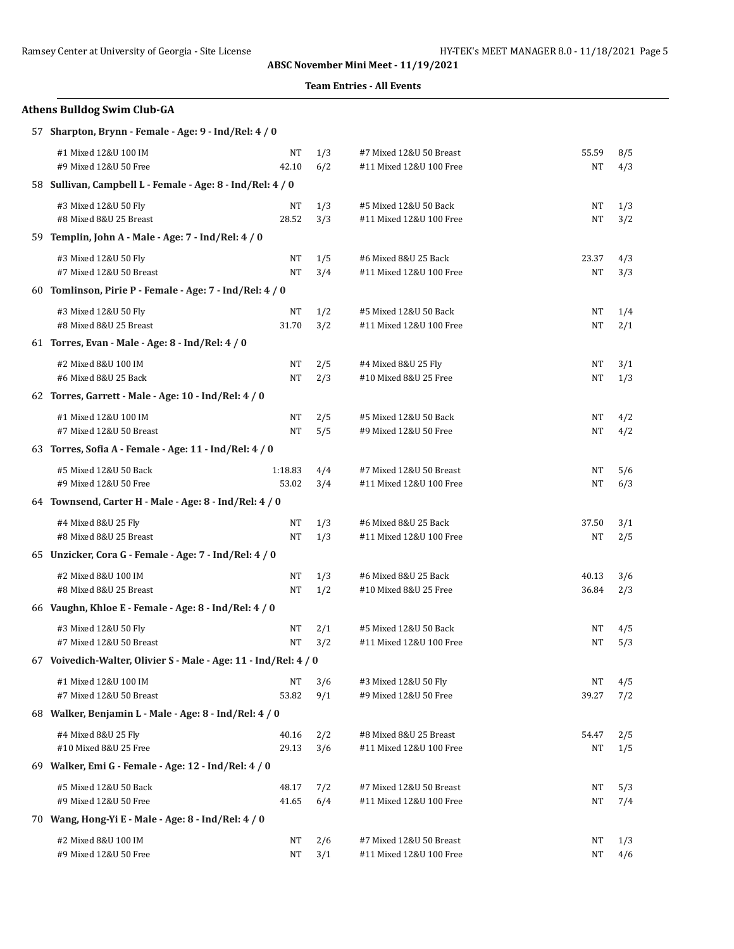## **Team Entries - All Events**

# **Athens Bulldog Swim Club-GA**

|  | 57 Sharpton, Brynn - Female - Age: 9 - Ind/Rel: 4 / 0 |  |  |  |  |  |  |
|--|-------------------------------------------------------|--|--|--|--|--|--|
|--|-------------------------------------------------------|--|--|--|--|--|--|

| #1 Mixed 12&U 100 IM                                             | NT                                               | 1/3                                                                                                                                                                                                                                                                                                                                                                                                                                                                                                                                                                                                                                                   | #7 Mixed 12&U 50 Breast | 55.59     | 8/5 |  |  |  |  |
|------------------------------------------------------------------|--------------------------------------------------|-------------------------------------------------------------------------------------------------------------------------------------------------------------------------------------------------------------------------------------------------------------------------------------------------------------------------------------------------------------------------------------------------------------------------------------------------------------------------------------------------------------------------------------------------------------------------------------------------------------------------------------------------------|-------------------------|-----------|-----|--|--|--|--|
| #9 Mixed 12&U 50 Free                                            | 42.10                                            | 6/2                                                                                                                                                                                                                                                                                                                                                                                                                                                                                                                                                                                                                                                   | #11 Mixed 12&U 100 Free | NT        | 4/3 |  |  |  |  |
|                                                                  |                                                  |                                                                                                                                                                                                                                                                                                                                                                                                                                                                                                                                                                                                                                                       |                         |           |     |  |  |  |  |
| #3 Mixed 12&U 50 Fly                                             | NT                                               | 1/3                                                                                                                                                                                                                                                                                                                                                                                                                                                                                                                                                                                                                                                   | #5 Mixed 12&U 50 Back   | NT        | 1/3 |  |  |  |  |
| #8 Mixed 8&U 25 Breast                                           | 28.52                                            | 3/3                                                                                                                                                                                                                                                                                                                                                                                                                                                                                                                                                                                                                                                   | #11 Mixed 12&U 100 Free | NT        | 3/2 |  |  |  |  |
|                                                                  |                                                  |                                                                                                                                                                                                                                                                                                                                                                                                                                                                                                                                                                                                                                                       |                         |           |     |  |  |  |  |
| #3 Mixed 12&U 50 Fly                                             | NT                                               | 1/5                                                                                                                                                                                                                                                                                                                                                                                                                                                                                                                                                                                                                                                   | #6 Mixed 8&U 25 Back    | 23.37     | 4/3 |  |  |  |  |
| #7 Mixed 12&U 50 Breast                                          | NT                                               | 3/4                                                                                                                                                                                                                                                                                                                                                                                                                                                                                                                                                                                                                                                   | #11 Mixed 12&U 100 Free | NT        | 3/3 |  |  |  |  |
|                                                                  |                                                  |                                                                                                                                                                                                                                                                                                                                                                                                                                                                                                                                                                                                                                                       |                         |           |     |  |  |  |  |
| #3 Mixed 12&U 50 Fly                                             | NΤ                                               | 1/2                                                                                                                                                                                                                                                                                                                                                                                                                                                                                                                                                                                                                                                   | #5 Mixed 12&U 50 Back   | NΤ        | 1/4 |  |  |  |  |
| #8 Mixed 8&U 25 Breast                                           | 31.70                                            | 3/2                                                                                                                                                                                                                                                                                                                                                                                                                                                                                                                                                                                                                                                   | #11 Mixed 12&U 100 Free | <b>NT</b> | 2/1 |  |  |  |  |
|                                                                  |                                                  |                                                                                                                                                                                                                                                                                                                                                                                                                                                                                                                                                                                                                                                       |                         |           |     |  |  |  |  |
| #2 Mixed 8&U 100 IM                                              | NT                                               | 2/5                                                                                                                                                                                                                                                                                                                                                                                                                                                                                                                                                                                                                                                   | #4 Mixed 8&U 25 Fly     | NΤ        | 3/1 |  |  |  |  |
| #6 Mixed 8&U 25 Back                                             | NT                                               | 2/3                                                                                                                                                                                                                                                                                                                                                                                                                                                                                                                                                                                                                                                   | #10 Mixed 8&U 25 Free   | NT        | 1/3 |  |  |  |  |
|                                                                  |                                                  |                                                                                                                                                                                                                                                                                                                                                                                                                                                                                                                                                                                                                                                       |                         |           |     |  |  |  |  |
| #1 Mixed 12&U 100 IM                                             | NT                                               | 2/5                                                                                                                                                                                                                                                                                                                                                                                                                                                                                                                                                                                                                                                   | #5 Mixed 12&U 50 Back   | NT        | 4/2 |  |  |  |  |
| #7 Mixed 12&U 50 Breast                                          | NT                                               | 5/5                                                                                                                                                                                                                                                                                                                                                                                                                                                                                                                                                                                                                                                   | #9 Mixed 12&U 50 Free   | NT        | 4/2 |  |  |  |  |
|                                                                  |                                                  |                                                                                                                                                                                                                                                                                                                                                                                                                                                                                                                                                                                                                                                       |                         |           |     |  |  |  |  |
| #5 Mixed 12&U 50 Back                                            | 1:18.83                                          | 4/4                                                                                                                                                                                                                                                                                                                                                                                                                                                                                                                                                                                                                                                   | #7 Mixed 12&U 50 Breast | NT        | 5/6 |  |  |  |  |
| #9 Mixed 12&U 50 Free                                            | 53.02                                            | 3/4                                                                                                                                                                                                                                                                                                                                                                                                                                                                                                                                                                                                                                                   | #11 Mixed 12&U 100 Free | NT        | 6/3 |  |  |  |  |
|                                                                  |                                                  |                                                                                                                                                                                                                                                                                                                                                                                                                                                                                                                                                                                                                                                       |                         |           |     |  |  |  |  |
| #4 Mixed 8&U 25 Fly                                              | NT                                               | 1/3                                                                                                                                                                                                                                                                                                                                                                                                                                                                                                                                                                                                                                                   | #6 Mixed 8&U 25 Back    | 37.50     | 3/1 |  |  |  |  |
| #8 Mixed 8&U 25 Breast                                           | NT                                               | 1/3                                                                                                                                                                                                                                                                                                                                                                                                                                                                                                                                                                                                                                                   | #11 Mixed 12&U 100 Free | NT        | 2/5 |  |  |  |  |
|                                                                  |                                                  |                                                                                                                                                                                                                                                                                                                                                                                                                                                                                                                                                                                                                                                       |                         |           |     |  |  |  |  |
| #2 Mixed 8&U 100 IM                                              | NT                                               | 1/3                                                                                                                                                                                                                                                                                                                                                                                                                                                                                                                                                                                                                                                   | #6 Mixed 8&U 25 Back    | 40.13     | 3/6 |  |  |  |  |
| #8 Mixed 8&U 25 Breast                                           | NT                                               | 1/2                                                                                                                                                                                                                                                                                                                                                                                                                                                                                                                                                                                                                                                   | #10 Mixed 8&U 25 Free   | 36.84     | 2/3 |  |  |  |  |
|                                                                  |                                                  |                                                                                                                                                                                                                                                                                                                                                                                                                                                                                                                                                                                                                                                       |                         |           |     |  |  |  |  |
| #3 Mixed 12&U 50 Fly                                             | NT                                               | 2/1                                                                                                                                                                                                                                                                                                                                                                                                                                                                                                                                                                                                                                                   | #5 Mixed 12&U 50 Back   | NT        | 4/5 |  |  |  |  |
| #7 Mixed 12&U 50 Breast                                          | NT                                               | 3/2                                                                                                                                                                                                                                                                                                                                                                                                                                                                                                                                                                                                                                                   | #11 Mixed 12&U 100 Free | NT        | 5/3 |  |  |  |  |
| 67 Voivedich-Walter, Olivier S - Male - Age: 11 - Ind/Rel: 4 / 0 |                                                  |                                                                                                                                                                                                                                                                                                                                                                                                                                                                                                                                                                                                                                                       |                         |           |     |  |  |  |  |
| #1 Mixed 12&U 100 IM                                             | NT                                               | 3/6                                                                                                                                                                                                                                                                                                                                                                                                                                                                                                                                                                                                                                                   | #3 Mixed 12&U 50 Fly    | NT        | 4/5 |  |  |  |  |
| #7 Mixed 12&U 50 Breast                                          | 53.82                                            | 9/1                                                                                                                                                                                                                                                                                                                                                                                                                                                                                                                                                                                                                                                   | #9 Mixed 12&U 50 Free   | 39.27     | 7/2 |  |  |  |  |
|                                                                  |                                                  |                                                                                                                                                                                                                                                                                                                                                                                                                                                                                                                                                                                                                                                       |                         |           |     |  |  |  |  |
| #4 Mixed 8&U 25 Fly                                              | 40.16                                            | 2/2                                                                                                                                                                                                                                                                                                                                                                                                                                                                                                                                                                                                                                                   | #8 Mixed 8&U 25 Breast  | 54.47     | 2/5 |  |  |  |  |
| #10 Mixed 8&U 25 Free                                            | 29.13                                            | 3/6                                                                                                                                                                                                                                                                                                                                                                                                                                                                                                                                                                                                                                                   | #11 Mixed 12&U 100 Free | NT        | 1/5 |  |  |  |  |
|                                                                  |                                                  |                                                                                                                                                                                                                                                                                                                                                                                                                                                                                                                                                                                                                                                       |                         |           |     |  |  |  |  |
| #5 Mixed 12&U 50 Back                                            | 48.17                                            | 7/2                                                                                                                                                                                                                                                                                                                                                                                                                                                                                                                                                                                                                                                   | #7 Mixed 12&U 50 Breast | NΤ        | 5/3 |  |  |  |  |
| #9 Mixed 12&U 50 Free                                            | 41.65                                            | 6/4                                                                                                                                                                                                                                                                                                                                                                                                                                                                                                                                                                                                                                                   | #11 Mixed 12&U 100 Free | NT        | 7/4 |  |  |  |  |
|                                                                  |                                                  |                                                                                                                                                                                                                                                                                                                                                                                                                                                                                                                                                                                                                                                       |                         |           |     |  |  |  |  |
| #2 Mixed 8&U 100 IM                                              | NT                                               | 2/6                                                                                                                                                                                                                                                                                                                                                                                                                                                                                                                                                                                                                                                   | #7 Mixed 12&U 50 Breast | NΤ        | 1/3 |  |  |  |  |
| #9 Mixed 12&U 50 Free                                            | NT                                               | 3/1                                                                                                                                                                                                                                                                                                                                                                                                                                                                                                                                                                                                                                                   | #11 Mixed 12&U 100 Free | NΤ        | 4/6 |  |  |  |  |
|                                                                  | 61 Torres, Evan - Male - Age: 8 - Ind/Rel: 4 / 0 | 58 Sullivan, Campbell L - Female - Age: 8 - Ind/Rel: 4 / 0<br>59 Templin, John A - Male - Age: 7 - Ind/Rel: 4 / 0<br>60 Tomlinson, Pirie P - Female - Age: 7 - Ind/Rel: 4 / 0<br>62 Torres, Garrett - Male - Age: 10 - Ind/Rel: 4 / 0<br>63 Torres, Sofia A - Female - Age: 11 - Ind/Rel: 4 / 0<br>64 Townsend, Carter H - Male - Age: 8 - Ind/Rel: 4 / 0<br>65 Unzicker, Cora G - Female - Age: 7 - Ind/Rel: 4 / 0<br>66 Vaughn, Khloe E - Female - Age: 8 - Ind/Rel: 4 / 0<br>68 Walker, Benjamin L - Male - Age: 8 - Ind/Rel: 4 / 0<br>69 Walker, Emi G - Female - Age: 12 - Ind/Rel: 4 / 0<br>70 Wang, Hong-Yi E - Male - Age: 8 - Ind/Rel: 4 / 0 |                         |           |     |  |  |  |  |